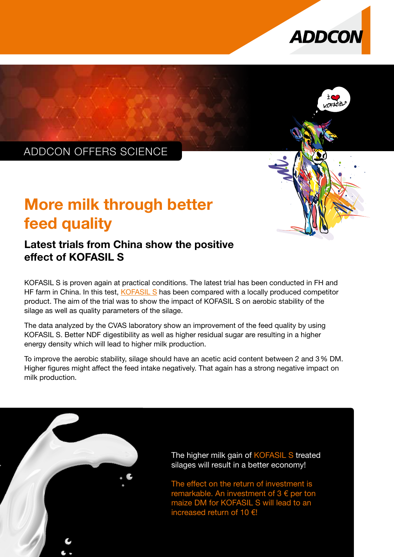



# ADDCON OFFERS SCIENCE

# More milk through better feed quality

## Latest trials from China show the positive effect of KOFASIL S

KOFASIL S is proven again at practical conditions. The latest trial has been conducted in FH and HF farm in China. In this test, [KOFASIL S](https://www.addcon.com/index.php/en/feed/silage-additives/kofasil-s) has been compared with a locally produced competitor product. The aim of the trial was to show the impact of KOFASIL S on aerobic stability of the silage as well as quality parameters of the silage.

The data analyzed by the CVAS laboratory show an improvement of the feed quality by using KOFASIL S. Better NDF digestibility as well as higher residual sugar are resulting in a higher energy density which will lead to higher milk production.

To improve the aerobic stability, silage should have an acetic acid content between 2 and 3% DM. Higher figures might affect the feed intake negatively. That again has a strong negative impact on milk production.



The higher milk gain of KOFASIL S treated silages will result in a better economy!

The effect on the return of investment is remarkable. An investment of  $3 \epsilon$  per ton maize DM for KOFASIL S will lead to an increased return of 10 €!